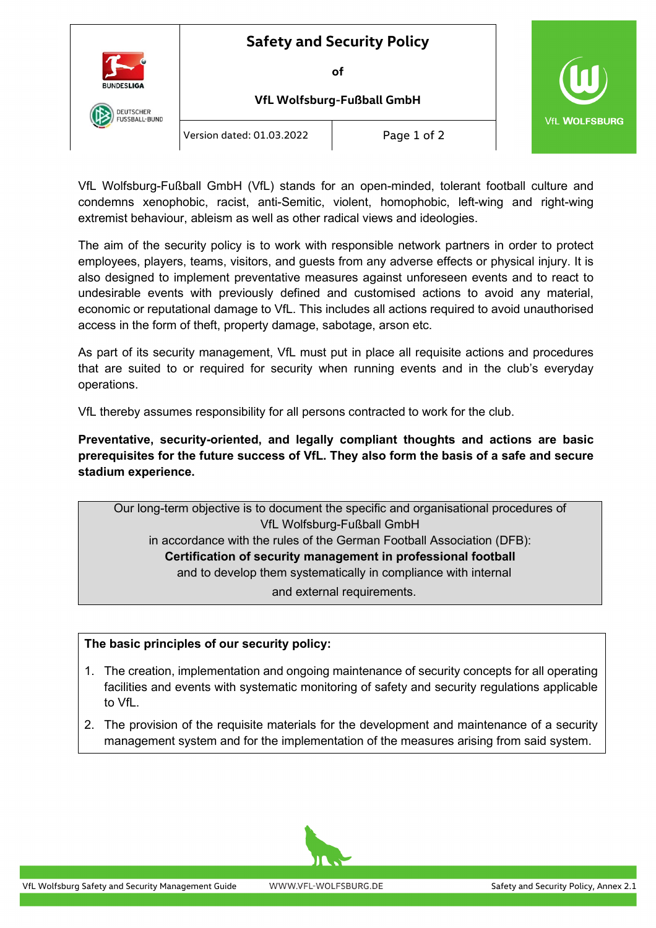

## **Safety and Security Policy**

**of**

**VfL Wolfsburg-Fußball GmbH**



Version dated: 01.03.2022 | Page 1 of 2

VfL Wolfsburg-Fußball GmbH (VfL) stands for an open-minded, tolerant football culture and condemns xenophobic, racist, anti-Semitic, violent, homophobic, left-wing and right-wing extremist behaviour, ableism as well as other radical views and ideologies.

The aim of the security policy is to work with responsible network partners in order to protect employees, players, teams, visitors, and guests from any adverse effects or physical injury. It is also designed to implement preventative measures against unforeseen events and to react to undesirable events with previously defined and customised actions to avoid any material, economic or reputational damage to VfL. This includes all actions required to avoid unauthorised access in the form of theft, property damage, sabotage, arson etc.

As part of its security management, VfL must put in place all requisite actions and procedures that are suited to or required for security when running events and in the club's everyday operations.

VfL thereby assumes responsibility for all persons contracted to work for the club.

**Preventative, security-oriented, and legally compliant thoughts and actions are basic prerequisites for the future success of VfL. They also form the basis of a safe and secure stadium experience.**

Our long-term objective is to document the specific and organisational procedures of VfL Wolfsburg-Fußball GmbH in accordance with the rules of the German Football Association (DFB): **Certification of security management in professional football** and to develop them systematically in compliance with internal and external requirements.

## **The basic principles of our security policy:**

- 1. The creation, implementation and ongoing maintenance of security concepts for all operating facilities and events with systematic monitoring of safety and security regulations applicable to VfL.
- 2. The provision of the requisite materials for the development and maintenance of a security management system and for the implementation of the measures arising from said system.